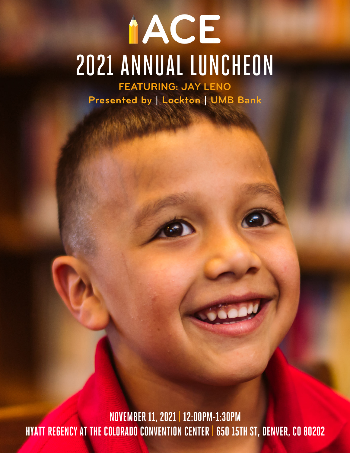# **IACE** [2021 ANNUAL LUNCHEON](https://www.acescholarships.org/2021-luncheon-2/) **FEATURING: JAY LENO**

**Presented by | Lockton | UMB Bank**

**NOVEMBER11, 2021 | 12:00PM-1:30PM HYATT REGENCY AT THE COLORADO CONVENTION CENTER|650 15TH ST, DENVER, CO80202**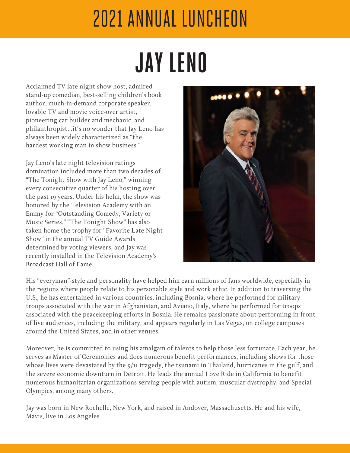# 2021 [ANNUAL LUNCHEON](https://www.acescholarships.org/2021-luncheon-2/)

# **JAY LENO**

Acclaimed TV late night show host, admired stand-up comedian, best-selling children's book author, much-in-demand corporate speaker, lovable TV and movie voice-over artist, pioneering car builder and mechanic, and philanthropist…it's no wonder that Jay Leno has always been widely characterized as "the hardest working man in show business."

Jay Leno's late night television ratings domination included more than two decades of "The Tonight Show with Jay Leno," winning every consecutive quarter of his hosting over the past 19 years. Under his helm, the show was honored by the Television Academy with an Emmy for "Outstanding Comedy, Variety or Music Series." "The Tonight Show" has also taken home the trophy for "Favorite Late Night Show" in the annual TV Guide Awards determined by voting viewers, and Jay was recently installed in the Television Academy's Broadcast Hall of Fame.



His "everyman"-style and personality have helped him earn millions of fans worldwide, especially in the regions where people relate to his personable style and work ethic. In addition to traversing the U.S., he has entertained in various countries, including Bosnia, where he performed for military troops associated with the war in Afghanistan, and Aviano, Italy, where he performed for troops associated with the peacekeeping efforts in Bosnia. He remains passionate about performing in front of live audiences, including the military, and appears regularly in Las Vegas, on college campuses around the United States, and in other venues.

Moreover, he is committed to using his amalgam of talents to help those less fortunate. Each year, he serves as Master of Ceremonies and does numerous benefit performances, including shows for those whose lives were devastated by the 9/11 tragedy, the tsunami in Thailand, hurricanes in the gulf, and the severe economic downturn in Detroit. He leads the annual Love Ride in California to benefit numerous humanitarian organizations serving people with autism, muscular dystrophy, and Special Olympics, among many others.

Jay was born in New Rochelle, New York, and raised in Andover, Massachusetts. He and his wife, Mavis, live in Los Angeles.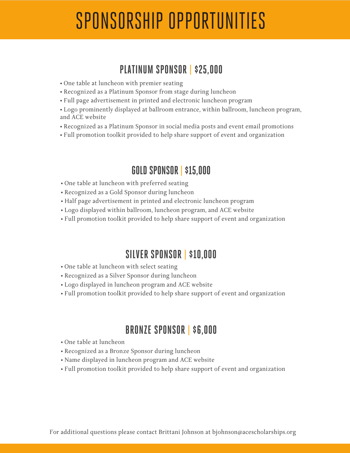### SPONSORSHIP [OPPORTUNITIES](https://www.acescholarships.org/2021-luncheon-2/)

#### **PLATINUM SPONSOR | \$25,000**

- One table at luncheon with premier seating
- Recognized as a Platinum Sponsor from stage during luncheon
- Full page advertisement in printed and electronic luncheon program
- Logo prominently displayed at ballroom entrance, within ballroom, luncheon program, and ACE website
- Recognized as a Platinum Sponsor in social media posts and event email promotions
- Full promotion toolkit provided to help share support of event and organization

#### **GOLD SPONSOR | \$15,000**

- One table at luncheon with preferred seating
- Recognized as a Gold Sponsor during luncheon
- Half page advertisement in printed and electronic luncheon program
- Logo displayed within ballroom, luncheon program, and ACE website
- Full promotion toolkit provided to help share support of event and organization

#### **SILVER SPONSOR | \$10,000**

- One table at luncheon with select seating
- Recognized as a Silver Sponsor during luncheon
- Logo displayed in luncheon program and ACE website
- Full promotion toolkit provided to help share support of event and organization

#### **BRONZE SPONSOR | \$6,000**

- One table at luncheon
- Recognized as a Bronze Sponsor during luncheon
- Name displayed in luncheon program and ACE website
- Full promotion toolkit provided to help share support of event and organization